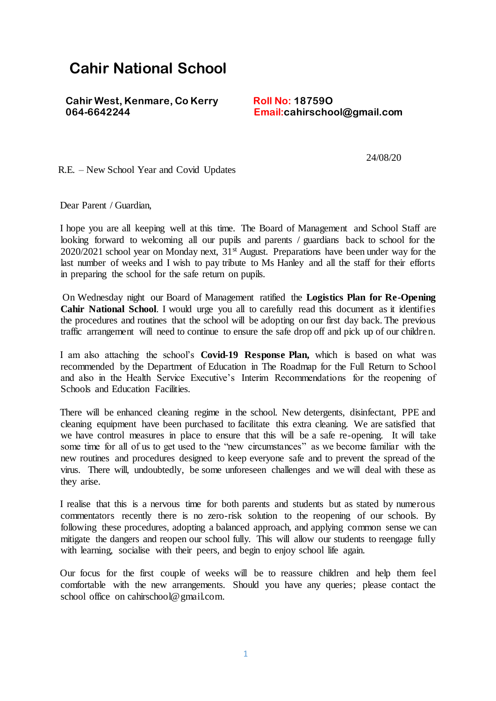## **Cahir National School**

Cahir West, Kenmare, Co Kerry Roll No: 187590  **064-6642244 Email:cahirschool@gmail.com**

24/08/20

R.E. – New School Year and Covid Updates

Dear Parent / Guardian,

I hope you are all keeping well at this time. The Board of Management and School Staff are looking forward to welcoming all our pupils and parents / guardians back to school for the  $2020/2021$  school year on Monday next,  $31<sup>st</sup>$  August. Preparations have been under way for the last number of weeks and I wish to pay tribute to Ms Hanley and all the staff for their efforts in preparing the school for the safe return on pupils.

On Wednesday night our Board of Management ratified the **Logistics Plan for Re-Opening Cahir National School**. I would urge you all to carefully read this document as it identifies the procedures and routines that the school will be adopting on our first day back. The previous traffic arrangement will need to continue to ensure the safe drop off and pick up of our children.

I am also attaching the school's **Covid-19 Response Plan,** which is based on what was recommended by the Department of Education in The Roadmap for the Full Return to School and also in the Health Service Executive's Interim Recommendations for the reopening of Schools and Education Facilities.

There will be enhanced cleaning regime in the school. New detergents, disinfectant, PPE and cleaning equipment have been purchased to facilitate this extra cleaning. We are satisfied that we have control measures in place to ensure that this will be a safe re-opening. It will take some time for all of us to get used to the "new circumstances" as we become familiar with the new routines and procedures designed to keep everyone safe and to prevent the spread of the virus. There will, undoubtedly, be some unforeseen challenges and we will deal with these as they arise.

I realise that this is a nervous time for both parents and students but as stated by numerous commentators recently there is no zero-risk solution to the reopening of our schools. By following these procedures, adopting a balanced approach, and applying common sense we can mitigate the dangers and reopen our school fully. This will allow our students to reengage fully with learning, socialise with their peers, and begin to enjoy school life again.

Our focus for the first couple of weeks will be to reassure children and help them feel comfortable with the new arrangements. Should you have any queries; please contact the school office on cahirschool@gmail.com.